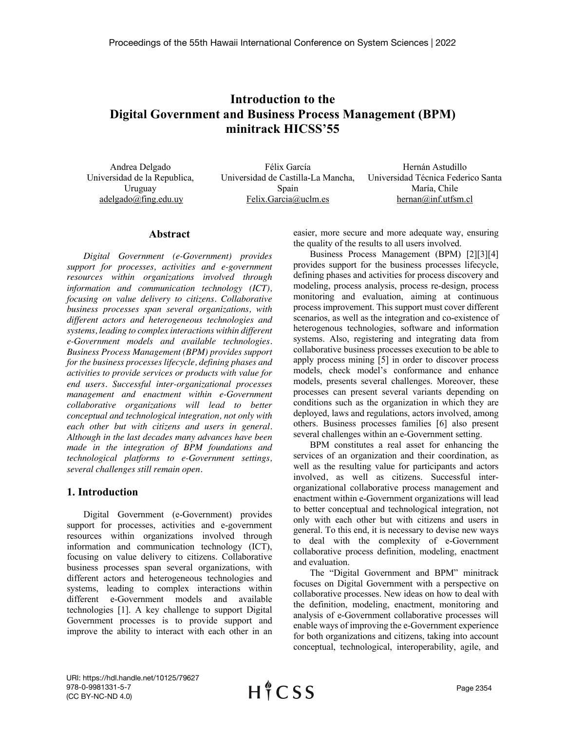# **Introduction to the Digital Government and Business Process Management (BPM) minitrack HICSS'55**

Andrea Delgado Universidad de la Republica, Uruguay adelgado@fing.edu.uy

Félix García Universidad de Castilla-La Mancha, Spain Felix.Garcia@uclm.es

Hernán Astudillo Universidad Técnica Federico Santa María, Chile hernan@inf.utfsm.cl

#### **Abstract**

*Digital Government (e-Government) provides support for processes, activities and e-government resources within organizations involved through information and communication technology (ICT), focusing on value delivery to citizens. Collaborative business processes span several organizations, with different actors and heterogeneous technologies and systems, leading to complex interactions within different e-Government models and available technologies. Business Process Management (BPM) provides support for the business processes lifecycle, defining phases and activities to provide services or products with value for end users. Successful inter-organizational processes management and enactment within e-Government collaborative organizations will lead to better conceptual and technological integration, not only with each other but with citizens and users in general. Although in the last decades many advances have been made in the integration of BPM foundations and technological platforms to e-Government settings, several challenges still remain open.* 

### **1. Introduction**

Digital Government (e-Government) provides support for processes, activities and e-government resources within organizations involved through information and communication technology (ICT), focusing on value delivery to citizens. Collaborative business processes span several organizations, with different actors and heterogeneous technologies and systems, leading to complex interactions within different e-Government models and available technologies [1]. A key challenge to support Digital Government processes is to provide support and improve the ability to interact with each other in an easier, more secure and more adequate way, ensuring the quality of the results to all users involved.

Business Process Management (BPM) [2][3][4] provides support for the business processes lifecycle, defining phases and activities for process discovery and modeling, process analysis, process re-design, process monitoring and evaluation, aiming at continuous process improvement. This support must cover different scenarios, as well as the integration and co-existence of heterogenous technologies, software and information systems. Also, registering and integrating data from collaborative business processes execution to be able to apply process mining [5] in order to discover process models, check model's conformance and enhance models, presents several challenges. Moreover, these processes can present several variants depending on conditions such as the organization in which they are deployed, laws and regulations, actors involved, among others. Business processes families [6] also present several challenges within an e-Government setting.

BPM constitutes a real asset for enhancing the services of an organization and their coordination, as well as the resulting value for participants and actors involved, as well as citizens. Successful interorganizational collaborative process management and enactment within e-Government organizations will lead to better conceptual and technological integration, not only with each other but with citizens and users in general. To this end, it is necessary to devise new ways to deal with the complexity of e-Government collaborative process definition, modeling, enactment and evaluation.

The "Digital Government and BPM" minitrack focuses on Digital Government with a perspective on collaborative processes. New ideas on how to deal with the definition, modeling, enactment, monitoring and analysis of e-Government collaborative processes will enable ways of improving the e-Government experience for both organizations and citizens, taking into account conceptual, technological, interoperability, agile, and